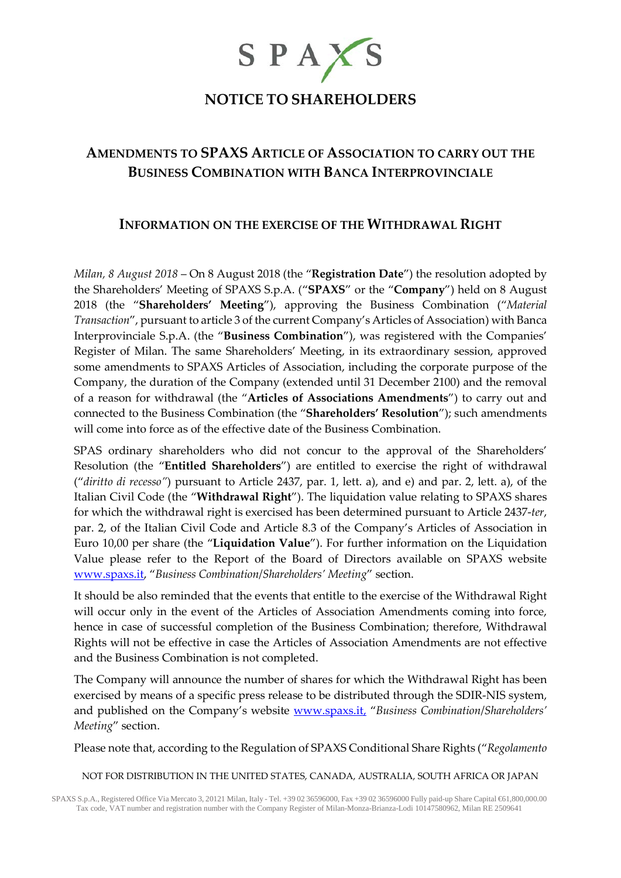

# **NOTICE TO SHAREHOLDERS**

# **AMENDMENTS TO SPAXS ARTICLE OF ASSOCIATION TO CARRY OUT THE BUSINESS COMBINATION WITH BANCA INTERPROVINCIALE**

## **INFORMATION ON THE EXERCISE OF THE WITHDRAWAL RIGHT**

*Milan, 8 August 2018* – On 8 August 2018 (the "**Registration Date**") the resolution adopted by the Shareholders' Meeting of SPAXS S.p.A. ("**SPAXS**" or the "**Company**") held on 8 August 2018 (the "**Shareholders' Meeting**"), approving the Business Combination ("*Material Transaction*", pursuant to article 3 of the current Company's Articles of Association) with Banca Interprovinciale S.p.A. (the "**Business Combination**"), was registered with the Companies' Register of Milan. The same Shareholders' Meeting, in its extraordinary session, approved some amendments to SPAXS Articles of Association, including the corporate purpose of the Company, the duration of the Company (extended until 31 December 2100) and the removal of a reason for withdrawal (the "**Articles of Associations Amendments**") to carry out and connected to the Business Combination (the "**Shareholders' Resolution**"); such amendments will come into force as of the effective date of the Business Combination.

SPAS ordinary shareholders who did not concur to the approval of the Shareholders' Resolution (the "**Entitled Shareholders**") are entitled to exercise the right of withdrawal ("*diritto di recesso"*) pursuant to Article 2437, par. 1, lett. a), and e) and par. 2, lett. a), of the Italian Civil Code (the "**Withdrawal Right**"). The liquidation value relating to SPAXS shares for which the withdrawal right is exercised has been determined pursuant to Article 2437-*ter*, par. 2, of the Italian Civil Code and Article 8.3 of the Company's Articles of Association in Euro 10,00 per share (the "**Liquidation Value**"). For further information on the Liquidation Value please refer to the Report of the Board of Directors available on SPAXS website [www.spaxs.it,](http://www.spaxs.it/) "*Business Combination*/*Shareholders' Meeting*" section.

It should be also reminded that the events that entitle to the exercise of the Withdrawal Right will occur only in the event of the Articles of Association Amendments coming into force, hence in case of successful completion of the Business Combination; therefore, Withdrawal Rights will not be effective in case the Articles of Association Amendments are not effective and the Business Combination is not completed.

The Company will announce the number of shares for which the Withdrawal Right has been exercised by means of a specific press release to be distributed through the SDIR-NIS system, and published on the Company's website [www.spaxs.it,](http://www.spaxs.it,/) "*Business Combination*/*Shareholders' Meeting*" section.

Please note that, according to the Regulation of SPAXS Conditional Share Rights ("*Regolamento* 

NOT FOR DISTRIBUTION IN THE UNITED STATES, CANADA, AUSTRALIA, SOUTH AFRICA OR JAPAN

SPAXS S.p.A., Registered Office Via Mercato 3, 20121 Milan, Italy - Tel. +39 02 36596000, Fax +39 02 36596000 Fully paid-up Share Capital €61,800,000.00 Tax code, VAT number and registration number with the Company Register of Milan-Monza-Brianza-Lodi 10147580962, Milan RE 2509641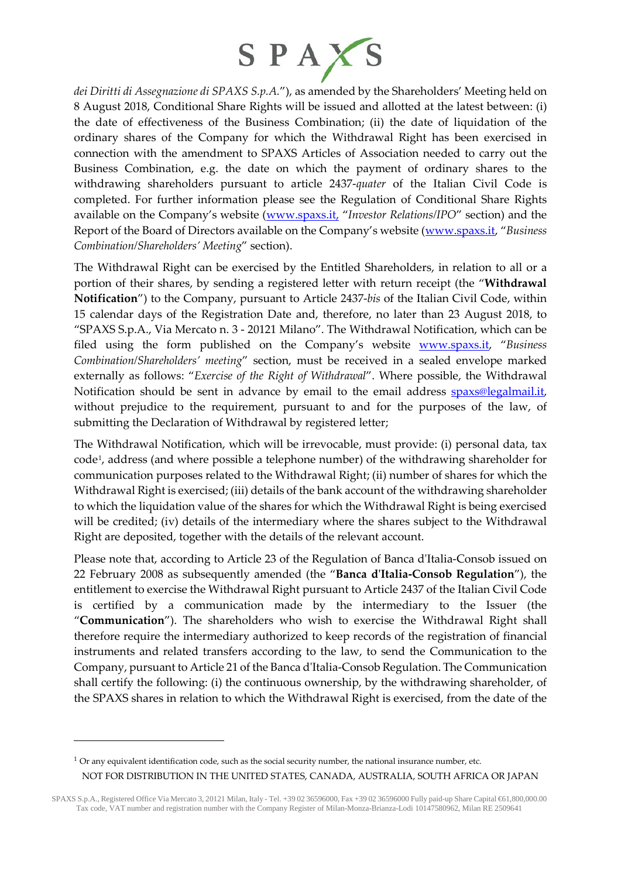

*dei Diritti di Assegnazione di SPAXS S.p.A.*"), as amended by the Shareholders' Meeting held on 8 August 2018, Conditional Share Rights will be issued and allotted at the latest between: (i) the date of effectiveness of the Business Combination; (ii) the date of liquidation of the ordinary shares of the Company for which the Withdrawal Right has been exercised in connection with the amendment to SPAXS Articles of Association needed to carry out the Business Combination, e.g. the date on which the payment of ordinary shares to the withdrawing shareholders pursuant to article 2437-*quater* of the Italian Civil Code is completed. For further information please see the Regulation of Conditional Share Rights available on the Company's website [\(www.spaxs.it,](http://www.spaxs.it/) "*Investor Relations/IPO*" section) and the Report of the Board of Directors available on the Company's website [\(www.spaxs.it,](http://www.spaxs.it/) "*Business Combination/Shareholders' Meeting*" section).

The Withdrawal Right can be exercised by the Entitled Shareholders, in relation to all or a portion of their shares, by sending a registered letter with return receipt (the "**Withdrawal Notification**") to the Company, pursuant to Article 2437-*bis* of the Italian Civil Code, within 15 calendar days of the Registration Date and, therefore, no later than 23 August 2018, to "SPAXS S.p.A., Via Mercato n. 3 - 20121 Milano". The Withdrawal Notification, which can be filed using the form published on the Company's website [www.spaxs.it,](http://www.spaxs.it/) "*Business Combination/Shareholders' meeting*" section, must be received in a sealed envelope marked externally as follows: "*Exercise of the Right of Withdrawal*". Where possible, the Withdrawal Notification should be sent in advance by email to the email address **spaxs@legalmail.it**, without prejudice to the requirement, pursuant to and for the purposes of the law, of submitting the Declaration of Withdrawal by registered letter;

The Withdrawal Notification, which will be irrevocable, must provide: (i) personal data, tax code[1,](#page-1-0) address (and where possible a telephone number) of the withdrawing shareholder for communication purposes related to the Withdrawal Right; (ii) number of shares for which the Withdrawal Right is exercised; (iii) details of the bank account of the withdrawing shareholder to which the liquidation value of the shares for which the Withdrawal Right is being exercised will be credited; (iv) details of the intermediary where the shares subject to the Withdrawal Right are deposited, together with the details of the relevant account.

Please note that, according to Article 23 of the Regulation of Banca d'Italia-Consob issued on 22 February 2008 as subsequently amended (the "**Banca d'Italia-Consob Regulation**"), the entitlement to exercise the Withdrawal Right pursuant to Article 2437 of the Italian Civil Code is certified by a communication made by the intermediary to the Issuer (the "**Communication**"). The shareholders who wish to exercise the Withdrawal Right shall therefore require the intermediary authorized to keep records of the registration of financial instruments and related transfers according to the law, to send the Communication to the Company, pursuant to Article 21 of the Banca d'Italia-Consob Regulation. The Communication shall certify the following: (i) the continuous ownership, by the withdrawing shareholder, of the SPAXS shares in relation to which the Withdrawal Right is exercised, from the date of the

-

NOT FOR DISTRIBUTION IN THE UNITED STATES, CANADA, AUSTRALIA, SOUTH AFRICA OR JAPAN  $1$  Or any equivalent identification code, such as the social security number, the national insurance number, etc.

<span id="page-1-0"></span>SPAXS S.p.A., Registered Office Via Mercato 3, 20121 Milan, Italy - Tel. +39 02 36596000, Fax +39 02 36596000 Fully paid-up Share Capital €61,800,000.00 Tax code, VAT number and registration number with the Company Register of Milan-Monza-Brianza-Lodi 10147580962, Milan RE 2509641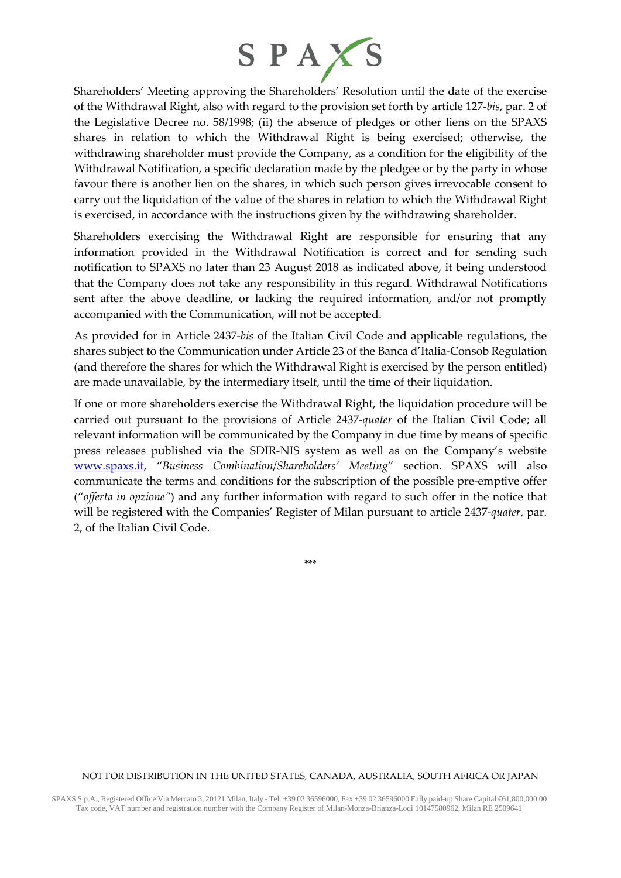

Shareholders' Meeting approving the Shareholders' Resolution until the date of the exercise of the Withdrawal Right, also with regard to the provision set forth by article 127-*bis*, par. 2 of the Legislative Decree no. 58/1998; (ii) the absence of pledges or other liens on the SPAXS shares in relation to which the Withdrawal Right is being exercised; otherwise, the withdrawing shareholder must provide the Company, as a condition for the eligibility of the Withdrawal Notification, a specific declaration made by the pledgee or by the party in whose favour there is another lien on the shares, in which such person gives irrevocable consent to carry out the liquidation of the value of the shares in relation to which the Withdrawal Right is exercised, in accordance with the instructions given by the withdrawing shareholder.

Shareholders exercising the Withdrawal Right are responsible for ensuring that any information provided in the Withdrawal Notification is correct and for sending such notification to SPAXS no later than 23 August 2018 as indicated above, it being understood that the Company does not take any responsibility in this regard. Withdrawal Notifications sent after the above deadline, or lacking the required information, and/or not promptly accompanied with the Communication, will not be accepted.

As provided for in Article 2437-*bis* of the Italian Civil Code and applicable regulations, the shares subject to the Communication under Article 23 of the Banca d'Italia-Consob Regulation (and therefore the shares for which the Withdrawal Right is exercised by the person entitled) are made unavailable, by the intermediary itself, until the time of their liquidation.

If one or more shareholders exercise the Withdrawal Right, the liquidation procedure will be carried out pursuant to the provisions of Article 2437-*quater* of the Italian Civil Code; all relevant information will be communicated by the Company in due time by means of specific press releases published via the SDIR-NIS system as well as on the Company's website [www.spaxs.it,](http://www.spaxs.it/) "*Business Combination*/*Shareholders' Meeting*" section. SPAXS will also communicate the terms and conditions for the subscription of the possible pre-emptive offer ("*offerta in opzione"*) and any further information with regard to such offer in the notice that will be registered with the Companies' Register of Milan pursuant to article 2437-*quater*, par. 2, of the Italian Civil Code.

\*\*\*

#### NOT FOR DISTRIBUTION IN THE UNITED STATES, CANADA, AUSTRALIA, SOUTH AFRICA OR JAPAN

SPAXS S.p.A., Registered Office Via Mercato 3, 20121 Milan, Italy - Tel. +39 02 36596000, Fax +39 02 36596000 Fully paid-up Share Capital €61,800,000.00 Tax code, VAT number and registration number with the Company Register of Milan-Monza-Brianza-Lodi 10147580962, Milan RE 2509641